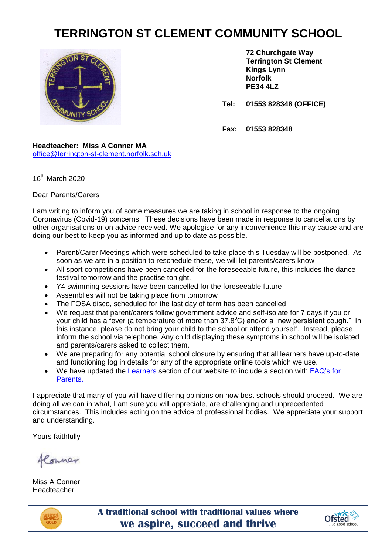# **TERRINGTON ST CLEMENT COMMUNITY SCHOOL**



**72 Churchgate Way Terrington St Clement Kings Lynn Norfolk PE34 4LZ**

**Tel: 01553 828348 (OFFICE)**

**Fax: 01553 828348**

**Headteacher: Miss A Conner MA** [office@terrington-st-clement.norfolk.sch.uk](mailto:office@terrington-st-clement.norfolk.sch.uk)

 $16^{th}$  March 2020

# Dear Parents/Carers

I am writing to inform you of some measures we are taking in school in response to the ongoing Coronavirus (Covid-19) concerns. These decisions have been made in response to cancellations by other organisations or on advice received. We apologise for any inconvenience this may cause and are doing our best to keep you as informed and up to date as possible.

- Parent/Carer Meetings which were scheduled to take place this Tuesday will be postponed. As soon as we are in a position to reschedule these, we will let parents/carers know
- All sport competitions have been cancelled for the foreseeable future, this includes the dance festival tomorrow and the practise tonight.
- Y4 swimming sessions have been cancelled for the foreseeable future
- Assemblies will not be taking place from tomorrow
- The FOSA disco, scheduled for the last day of term has been cancelled
- We request that parent/carers follow government advice and self-isolate for 7 days if you or your child has a fever (a temperature of more than  $37.8^{\circ}$ C) and/or a "new persistent cough." In this instance, please do not bring your child to the school or attend yourself. Instead, please inform the school via telephone. Any child displaying these symptoms in school will be isolated and parents/carers asked to collect them.
- We are preparing for any potential school closure by ensuring that all learners have up-to-date and functioning log in details for any of the appropriate online tools which we use.
- We have updated the [Learners](https://www.terringtonstclementschool.co.uk/page/?title=Learners&pid=219) section of our website to include a section with [FAQ's for](https://www.terringtonstclementschool.co.uk/page/?title=FAQ+for+Parents&pid=282)  [Parents.](https://www.terringtonstclementschool.co.uk/page/?title=FAQ+for+Parents&pid=282)

I appreciate that many of you will have differing opinions on how best schools should proceed. We are doing all we can in what, I am sure you will appreciate, are challenging and unprecedented circumstances. This includes acting on the advice of professional bodies. We appreciate your support and understanding.

Yours faithfully

flowner

Miss A Conner Headteacher